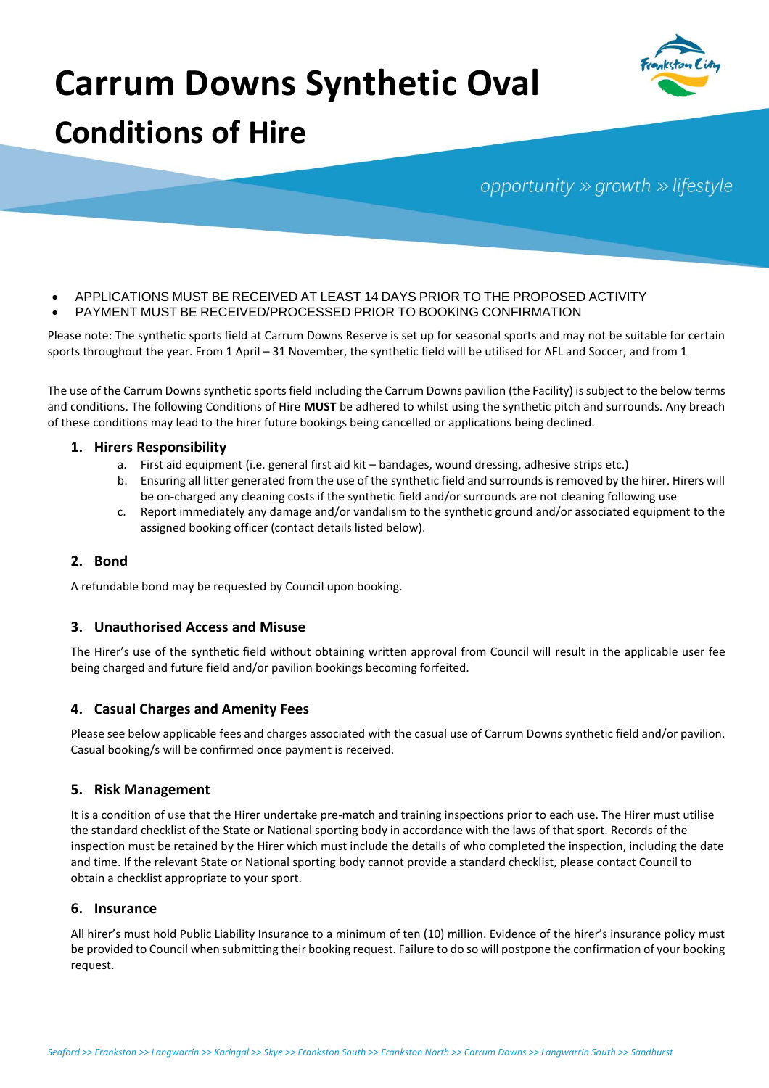# **Carrum Downs Synthetic Oval Conditions of Hire**



## opportunity  $\gg$  growth  $\gg$  lifestyle

- APPLICATIONS MUST BE RECEIVED AT LEAST 14 DAYS PRIOR TO THE PROPOSED ACTIVITY
- PAYMENT MUST BE RECEIVED/PROCESSED PRIOR TO BOOKING CONFIRMATION

Please note: The synthetic sports field at Carrum Downs Reserve is set up for seasonal sports and may not be suitable for certain sports throughout the year. From 1 April – 31 November, the synthetic field will be utilised for AFL and Soccer, and from 1

The use of the Carrum Downs synthetic sports field including the Carrum Downs pavilion (the Facility) is subject to the below terms and conditions. The following Conditions of Hire **MUST** be adhered to whilst using the synthetic pitch and surrounds. Any breach of these conditions may lead to the hirer future bookings being cancelled or applications being declined.

## **1. Hirers Responsibility**

- a. First aid equipment (i.e. general first aid kit bandages, wound dressing, adhesive strips etc.)
- b. Ensuring all litter generated from the use of the synthetic field and surrounds is removed by the hirer. Hirers will be on-charged any cleaning costs if the synthetic field and/or surrounds are not cleaning following use
- c. Report immediately any damage and/or vandalism to the synthetic ground and/or associated equipment to the assigned booking officer (contact details listed below).

## **2. Bond**

A refundable bond may be requested by Council upon booking.

## **3. Unauthorised Access and Misuse**

The Hirer's use of the synthetic field without obtaining written approval from Council will result in the applicable user fee being charged and future field and/or pavilion bookings becoming forfeited.

## **4. Casual Charges and Amenity Fees**

Please see below applicable fees and charges associated with the casual use of Carrum Downs synthetic field and/or pavilion. Casual booking/s will be confirmed once payment is received.

## **5. Risk Management**

It is a condition of use that the Hirer undertake pre-match and training inspections prior to each use. The Hirer must utilise the standard checklist of the State or National sporting body in accordance with the laws of that sport. Records of the inspection must be retained by the Hirer which must include the details of who completed the inspection, including the date and time. If the relevant State or National sporting body cannot provide a standard checklist, please contact Council to obtain a checklist appropriate to your sport.

## **6. Insurance**

All hirer's must hold Public Liability Insurance to a minimum of ten (10) million. Evidence of the hirer's insurance policy must be provided to Council when submitting their booking request. Failure to do so will postpone the confirmation of your booking request.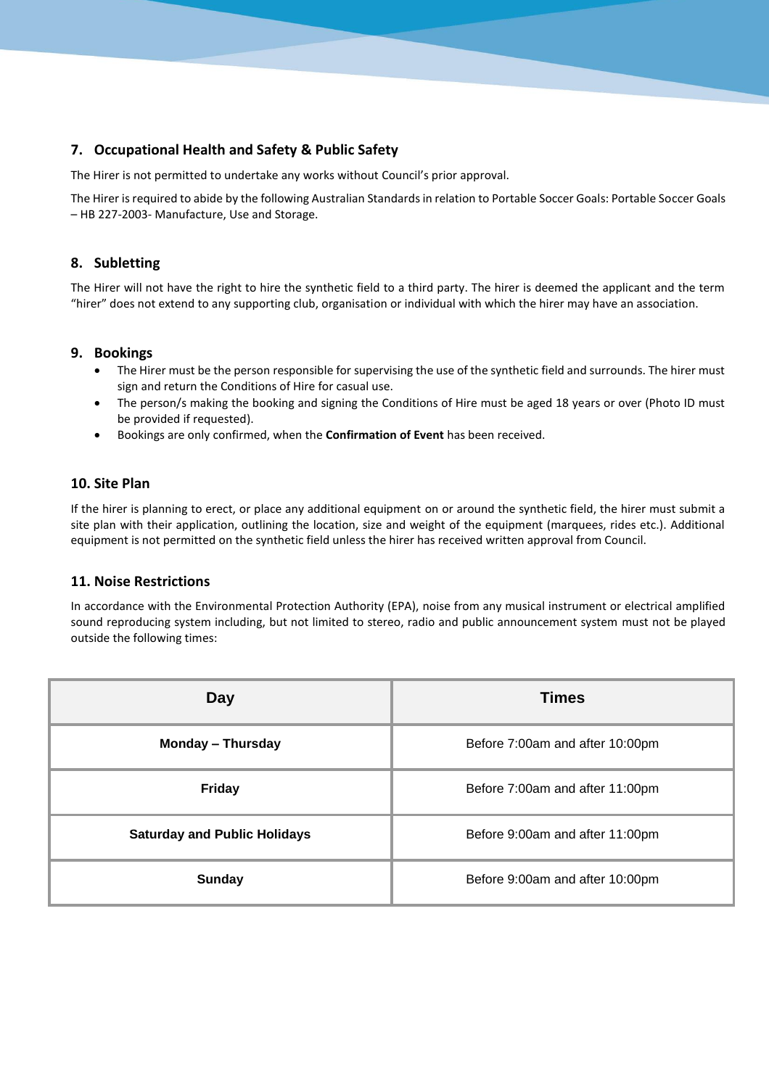## **7. Occupational Health and Safety & Public Safety**

The Hirer is not permitted to undertake any works without Council's prior approval.

The Hirer is required to abide by the following Australian Standards in relation to Portable Soccer Goals: Portable Soccer Goals – HB 227-2003- Manufacture, Use and Storage.

## **8. Subletting**

The Hirer will not have the right to hire the synthetic field to a third party. The hirer is deemed the applicant and the term "hirer" does not extend to any supporting club, organisation or individual with which the hirer may have an association.

## **9. Bookings**

- The Hirer must be the person responsible for supervising the use of the synthetic field and surrounds. The hirer must sign and return the Conditions of Hire for casual use.
- The person/s making the booking and signing the Conditions of Hire must be aged 18 years or over (Photo ID must be provided if requested).
- Bookings are only confirmed, when the **Confirmation of Event** has been received.

#### **10. Site Plan**

If the hirer is planning to erect, or place any additional equipment on or around the synthetic field, the hirer must submit a site plan with their application, outlining the location, size and weight of the equipment (marquees, rides etc.). Additional equipment is not permitted on the synthetic field unless the hirer has received written approval from Council.

## **11. Noise Restrictions**

In accordance with the Environmental Protection Authority (EPA), noise from any musical instrument or electrical amplified sound reproducing system including, but not limited to stereo, radio and public announcement system must not be played outside the following times:

| Day                                 | <b>Times</b>                    |
|-------------------------------------|---------------------------------|
| Monday - Thursday                   | Before 7:00am and after 10:00pm |
| <b>Friday</b>                       | Before 7:00am and after 11:00pm |
| <b>Saturday and Public Holidays</b> | Before 9:00am and after 11:00pm |
| <b>Sunday</b>                       | Before 9:00am and after 10:00pm |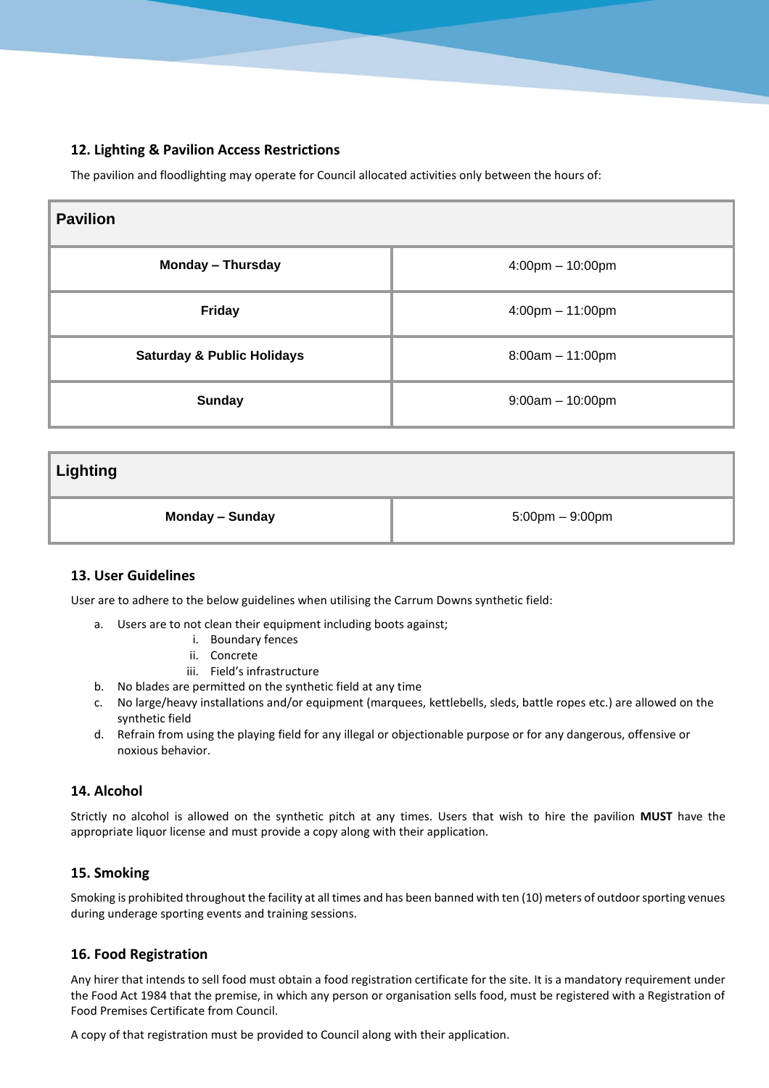## **12. Lighting & Pavilion Access Restrictions**

The pavilion and floodlighting may operate for Council allocated activities only between the hours of:

| <b>Pavilion</b>                       |                                    |
|---------------------------------------|------------------------------------|
| <b>Monday - Thursday</b>              | $4:00 \text{pm} - 10:00 \text{pm}$ |
| <b>Friday</b>                         | $4:00 \text{pm} - 11:00 \text{pm}$ |
| <b>Saturday &amp; Public Holidays</b> | $8:00am - 11:00pm$                 |
| <b>Sunday</b>                         | $9:00am - 10:00pm$                 |

**Lighting**

**Monday – Sunday** 5:00pm – 9:00pm

## **13. User Guidelines**

User are to adhere to the below guidelines when utilising the Carrum Downs synthetic field:

- a. Users are to not clean their equipment including boots against;
	- i. Boundary fences
	- ii. Concrete
	- iii. Field's infrastructure
- b. No blades are permitted on the synthetic field at any time
- c. No large/heavy installations and/or equipment (marquees, kettlebells, sleds, battle ropes etc.) are allowed on the synthetic field
- d. Refrain from using the playing field for any illegal or objectionable purpose or for any dangerous, offensive or noxious behavior.

## **14. Alcohol**

Strictly no alcohol is allowed on the synthetic pitch at any times. Users that wish to hire the pavilion **MUST** have the appropriate liquor license and must provide a copy along with their application.

## **15. Smoking**

Smoking is prohibited throughout the facility at all times and has been banned with ten (10) meters of outdoor sporting venues during underage sporting events and training sessions.

## **16. Food Registration**

Any hirer that intends to sell food must obtain a food registration certificate for the site. It is a mandatory requirement under the Food Act 1984 that the premise, in which any person or organisation sells food, must be registered with a Registration of Food Premises Certificate from Council.

A copy of that registration must be provided to Council along with their application.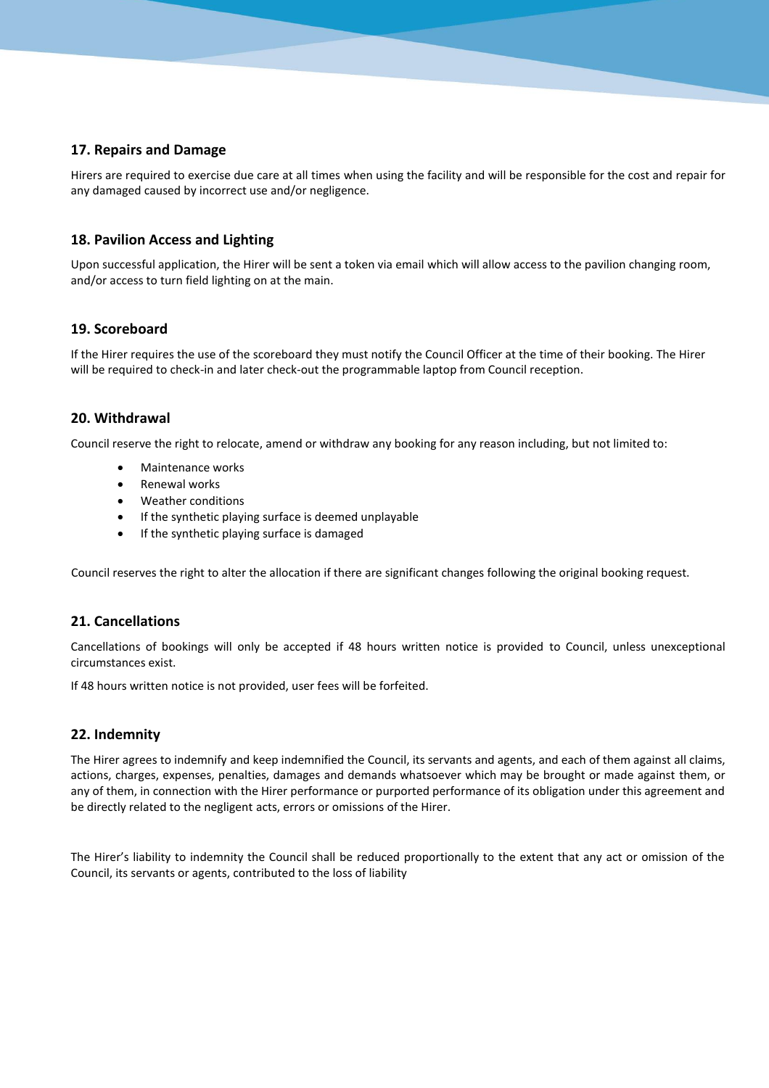## **17. Repairs and Damage**

Hirers are required to exercise due care at all times when using the facility and will be responsible for the cost and repair for any damaged caused by incorrect use and/or negligence.

## **18. Pavilion Access and Lighting**

Upon successful application, the Hirer will be sent a token via email which will allow access to the pavilion changing room, and/or access to turn field lighting on at the main.

## **19. Scoreboard**

If the Hirer requires the use of the scoreboard they must notify the Council Officer at the time of their booking. The Hirer will be required to check-in and later check-out the programmable laptop from Council reception.

## **20. Withdrawal**

Council reserve the right to relocate, amend or withdraw any booking for any reason including, but not limited to:

- Maintenance works
- Renewal works
- Weather conditions
- If the synthetic playing surface is deemed unplayable
- If the synthetic playing surface is damaged

Council reserves the right to alter the allocation if there are significant changes following the original booking request.

## **21. Cancellations**

Cancellations of bookings will only be accepted if 48 hours written notice is provided to Council, unless unexceptional circumstances exist.

If 48 hours written notice is not provided, user fees will be forfeited.

## **22. Indemnity**

The Hirer agrees to indemnify and keep indemnified the Council, its servants and agents, and each of them against all claims, actions, charges, expenses, penalties, damages and demands whatsoever which may be brought or made against them, or any of them, in connection with the Hirer performance or purported performance of its obligation under this agreement and be directly related to the negligent acts, errors or omissions of the Hirer.

The Hirer's liability to indemnity the Council shall be reduced proportionally to the extent that any act or omission of the Council, its servants or agents, contributed to the loss of liability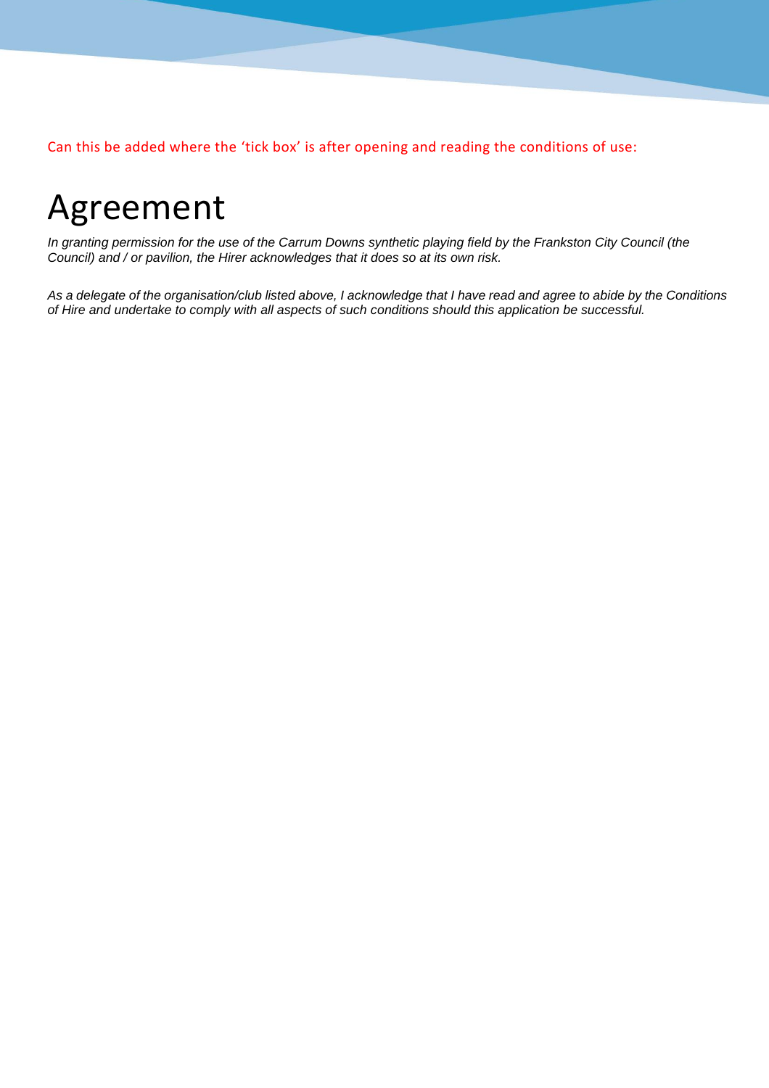Can this be added where the 'tick box' is after opening and reading the conditions of use:

## Agreement

*In granting permission for the use of the Carrum Downs synthetic playing field by the Frankston City Council (the Council) and / or pavilion, the Hirer acknowledges that it does so at its own risk.*

*As a delegate of the organisation/club listed above, I acknowledge that I have read and agree to abide by the Conditions of Hire and undertake to comply with all aspects of such conditions should this application be successful.*